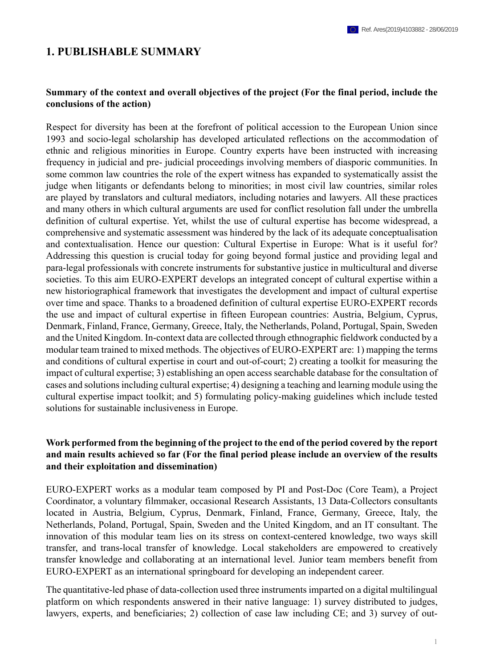### **1. PUBLISHABLE SUMMARY**

### **Summary of the context and overall objectives of the project (For the final period, include the conclusions of the action)**

Respect for diversity has been at the forefront of political accession to the European Union since 1993 and socio-legal scholarship has developed articulated reflections on the accommodation of ethnic and religious minorities in Europe. Country experts have been instructed with increasing frequency in judicial and pre- judicial proceedings involving members of diasporic communities. In some common law countries the role of the expert witness has expanded to systematically assist the judge when litigants or defendants belong to minorities; in most civil law countries, similar roles are played by translators and cultural mediators, including notaries and lawyers. All these practices and many others in which cultural arguments are used for conflict resolution fall under the umbrella definition of cultural expertise. Yet, whilst the use of cultural expertise has become widespread, a comprehensive and systematic assessment was hindered by the lack of its adequate conceptualisation and contextualisation. Hence our question: Cultural Expertise in Europe: What is it useful for? Addressing this question is crucial today for going beyond formal justice and providing legal and para-legal professionals with concrete instruments for substantive justice in multicultural and diverse societies. To this aim EURO-EXPERT develops an integrated concept of cultural expertise within a new historiographical framework that investigates the development and impact of cultural expertise over time and space. Thanks to a broadened definition of cultural expertise EURO-EXPERT records the use and impact of cultural expertise in fifteen European countries: Austria, Belgium, Cyprus, Denmark, Finland, France, Germany, Greece, Italy, the Netherlands, Poland, Portugal, Spain, Sweden and the United Kingdom. In-context data are collected through ethnographic fieldwork conducted by a modular team trained to mixed methods. The objectives of EURO-EXPERT are: 1) mapping the terms and conditions of cultural expertise in court and out-of-court; 2) creating a toolkit for measuring the impact of cultural expertise; 3) establishing an open access searchable database for the consultation of cases and solutions including cultural expertise; 4) designing a teaching and learning module using the cultural expertise impact toolkit; and 5) formulating policy-making guidelines which include tested solutions for sustainable inclusiveness in Europe.

### **Work performed from the beginning of the project to the end of the period covered by the report and main results achieved so far (For the final period please include an overview of the results and their exploitation and dissemination)**

EURO-EXPERT works as a modular team composed by PI and Post-Doc (Core Team), a Project Coordinator, a voluntary filmmaker, occasional Research Assistants, 13 Data-Collectors consultants located in Austria, Belgium, Cyprus, Denmark, Finland, France, Germany, Greece, Italy, the Netherlands, Poland, Portugal, Spain, Sweden and the United Kingdom, and an IT consultant. The innovation of this modular team lies on its stress on context-centered knowledge, two ways skill transfer, and trans-local transfer of knowledge. Local stakeholders are empowered to creatively transfer knowledge and collaborating at an international level. Junior team members benefit from EURO-EXPERT as an international springboard for developing an independent career.

The quantitative-led phase of data-collection used three instruments imparted on a digital multilingual platform on which respondents answered in their native language: 1) survey distributed to judges, lawyers, experts, and beneficiaries; 2) collection of case law including CE; and 3) survey of out-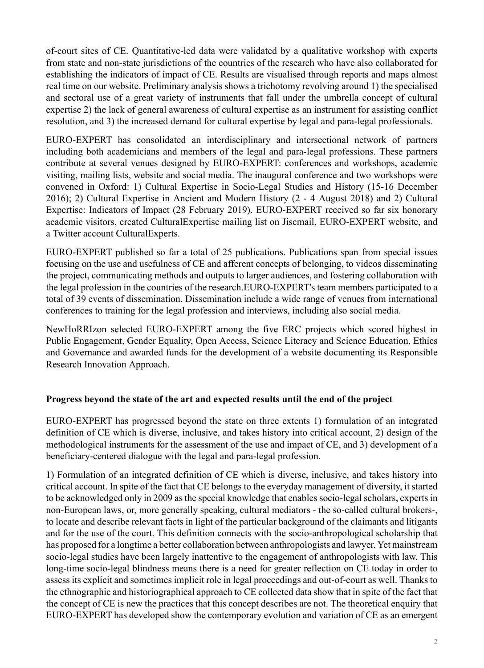of-court sites of CE. Quantitative-led data were validated by a qualitative workshop with experts from state and non-state jurisdictions of the countries of the research who have also collaborated for establishing the indicators of impact of CE. Results are visualised through reports and maps almost real time on our website. Preliminary analysis shows a trichotomy revolving around 1) the specialised and sectoral use of a great variety of instruments that fall under the umbrella concept of cultural expertise 2) the lack of general awareness of cultural expertise as an instrument for assisting conflict resolution, and 3) the increased demand for cultural expertise by legal and para-legal professionals.

EURO-EXPERT has consolidated an interdisciplinary and intersectional network of partners including both academicians and members of the legal and para-legal professions. These partners contribute at several venues designed by EURO-EXPERT: conferences and workshops, academic visiting, mailing lists, website and social media. The inaugural conference and two workshops were convened in Oxford: 1) Cultural Expertise in Socio-Legal Studies and History (15-16 December 2016); 2) Cultural Expertise in Ancient and Modern History (2 - 4 August 2018) and 2) Cultural Expertise: Indicators of Impact (28 February 2019). EURO-EXPERT received so far six honorary academic visitors, created CulturalExpertise mailing list on Jiscmail, EURO-EXPERT website, and a Twitter account CulturalExperts.

EURO-EXPERT published so far a total of 25 publications. Publications span from special issues focusing on the use and usefulness of CE and afferent concepts of belonging, to videos disseminating the project, communicating methods and outputs to larger audiences, and fostering collaboration with the legal profession in the countries of the research.EURO-EXPERT's team members participated to a total of 39 events of dissemination. Dissemination include a wide range of venues from international conferences to training for the legal profession and interviews, including also social media.

NewHoRRIzon selected EURO-EXPERT among the five ERC projects which scored highest in Public Engagement, Gender Equality, Open Access, Science Literacy and Science Education, Ethics and Governance and awarded funds for the development of a website documenting its Responsible Research Innovation Approach.

# **Progress beyond the state of the art and expected results until the end of the project**

EURO-EXPERT has progressed beyond the state on three extents 1) formulation of an integrated definition of CE which is diverse, inclusive, and takes history into critical account, 2) design of the methodological instruments for the assessment of the use and impact of CE, and 3) development of a beneficiary-centered dialogue with the legal and para-legal profession.

1) Formulation of an integrated definition of CE which is diverse, inclusive, and takes history into critical account. In spite of the fact that CE belongs to the everyday management of diversity, it started to be acknowledged only in 2009 as the special knowledge that enables socio-legal scholars, experts in non-European laws, or, more generally speaking, cultural mediators - the so-called cultural brokers-, to locate and describe relevant facts in light of the particular background of the claimants and litigants and for the use of the court. This definition connects with the socio-anthropological scholarship that has proposed for a longtime a better collaboration between anthropologists and lawyer. Yet mainstream socio-legal studies have been largely inattentive to the engagement of anthropologists with law. This long-time socio-legal blindness means there is a need for greater reflection on CE today in order to assess its explicit and sometimes implicit role in legal proceedings and out-of-court as well. Thanks to the ethnographic and historiographical approach to CE collected data show that in spite of the fact that the concept of CE is new the practices that this concept describes are not. The theoretical enquiry that EURO-EXPERT has developed show the contemporary evolution and variation of CE as an emergent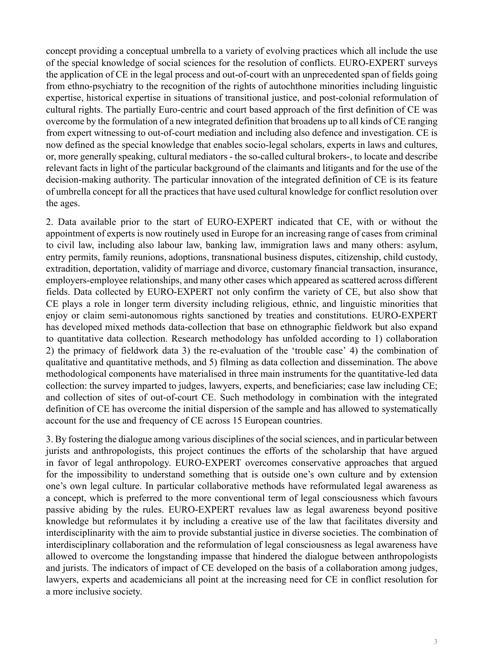concept providing a conceptual umbrella to a variety of evolving practices which all include the use of the special knowledge of social sciences for the resolution of conflicts. EURO-EXPERT surveys the application of CE in the legal process and out-of-court with an unprecedented span of fields going from ethno-psychiatry to the recognition of the rights of autochthone minorities including linguistic expertise, historical expertise in situations of transitional justice, and post-colonial reformulation of cultural rights. The partially Euro-centric and court based approach of the first definition of CE was overcome by the formulation of a new integrated definition that broadens up to all kinds of CE ranging from expert witnessing to out-of-court mediation and including also defence and investigation. CE is now defined as the special knowledge that enables socio-legal scholars, experts in laws and cultures, or, more generally speaking, cultural mediators - the so-called cultural brokers-, to locate and describe relevant facts in light of the particular background of the claimants and litigants and for the use of the decision-making authority. The particular innovation of the integrated definition of CE is its feature of umbrella concept for all the practices that have used cultural knowledge for conflict resolution over the ages.

2. Data available prior to the start of EURO-EXPERT indicated that CE, with or without the appointment of experts is now routinely used in Europe for an increasing range of cases from criminal to civil law, including also labour law, banking law, immigration laws and many others: asylum, entry permits, family reunions, adoptions, transnational business disputes, citizenship, child custody, extradition, deportation, validity of marriage and divorce, customary financial transaction, insurance, employers-employee relationships, and many other cases which appeared as scattered across different fields. Data collected by EURO-EXPERT not only confirm the variety of CE, but also show that CE plays a role in longer term diversity including religious, ethnic, and linguistic minorities that enjoy or claim semi-autonomous rights sanctioned by treaties and constitutions. EURO-EXPERT has developed mixed methods data-collection that base on ethnographic fieldwork but also expand to quantitative data collection. Research methodology has unfolded according to 1) collaboration 2) the primacy of fieldwork data 3) the re-evaluation of the 'trouble case' 4) the combination of qualitative and quantitative methods, and 5) filming as data collection and dissemination. The above methodological components have materialised in three main instruments for the quantitative-led data collection: the survey imparted to judges, lawyers, experts, and beneficiaries; case law including CE; and collection of sites of out-of-court CE. Such methodology in combination with the integrated definition of CE has overcome the initial dispersion of the sample and has allowed to systematically account for the use and frequency of CE across 15 European countries.

3. By fostering the dialogue among various disciplines of the social sciences, and in particular between jurists and anthropologists, this project continues the efforts of the scholarship that have argued in favor of legal anthropology. EURO-EXPERT overcomes conservative approaches that argued for the impossibility to understand something that is outside one's own culture and by extension one's own legal culture. In particular collaborative methods have reformulated legal awareness as a concept, which is preferred to the more conventional term of legal consciousness which favours passive abiding by the rules. EURO-EXPERT revalues law as legal awareness beyond positive knowledge but reformulates it by including a creative use of the law that facilitates diversity and interdisciplinarity with the aim to provide substantial justice in diverse societies. The combination of interdisciplinary collaboration and the reformulation of legal consciousness as legal awareness have allowed to overcome the longstanding impasse that hindered the dialogue between anthropologists and jurists. The indicators of impact of CE developed on the basis of a collaboration among judges, lawyers, experts and academicians all point at the increasing need for CE in conflict resolution for a more inclusive society.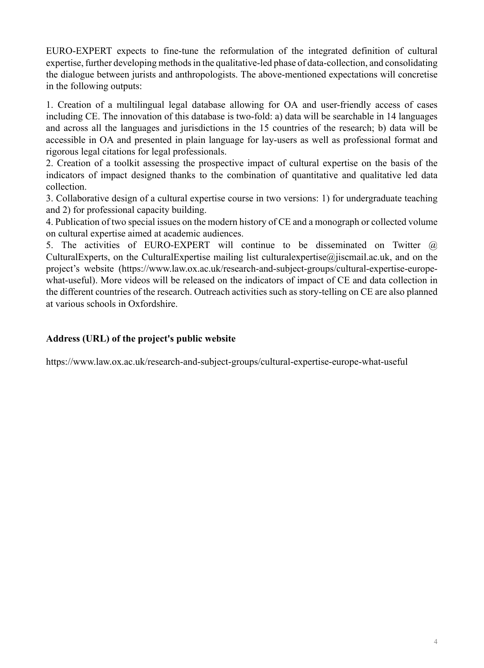EURO-EXPERT expects to fine-tune the reformulation of the integrated definition of cultural expertise, further developing methods in the qualitative-led phase of data-collection, and consolidating the dialogue between jurists and anthropologists. The above-mentioned expectations will concretise in the following outputs:

1. Creation of a multilingual legal database allowing for OA and user-friendly access of cases including CE. The innovation of this database is two-fold: a) data will be searchable in 14 languages and across all the languages and jurisdictions in the 15 countries of the research; b) data will be accessible in OA and presented in plain language for lay-users as well as professional format and rigorous legal citations for legal professionals.

2. Creation of a toolkit assessing the prospective impact of cultural expertise on the basis of the indicators of impact designed thanks to the combination of quantitative and qualitative led data collection.

3. Collaborative design of a cultural expertise course in two versions: 1) for undergraduate teaching and 2) for professional capacity building.

4. Publication of two special issues on the modern history of CE and a monograph or collected volume on cultural expertise aimed at academic audiences.

5. The activities of EURO-EXPERT will continue to be disseminated on Twitter @ CulturalExperts, on the CulturalExpertise mailing list culturalexpertise@jiscmail.ac.uk, and on the project's website (https://www.law.ox.ac.uk/research-and-subject-groups/cultural-expertise-europewhat-useful). More videos will be released on the indicators of impact of CE and data collection in the different countries of the research. Outreach activities such as story-telling on CE are also planned at various schools in Oxfordshire.

# **Address (URL) of the project's public website**

https://www.law.ox.ac.uk/research-and-subject-groups/cultural-expertise-europe-what-useful